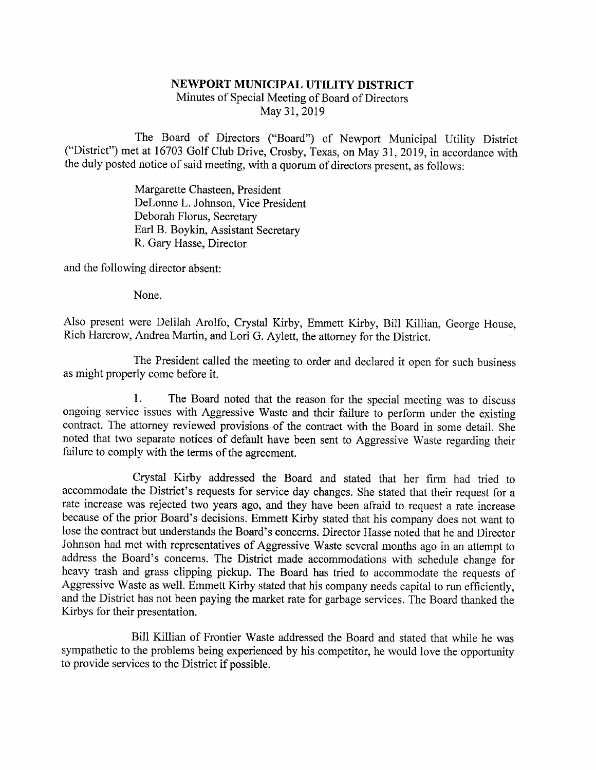## NEWPORT MUNICIPAL UTILITY DISTRICT Minutes of Special Meeting of Board of Directors May 31,2019

The Board of Directors ("Board") of Newport Municipal Utility District ("District") met at 16703 Golf Club Drive, Crosby, Texas, on May 31, 2019, in accordance with the duly posted notice of said meeting, with a quorum of

Margarette Chasteen, President DeLonne L. Johnson, Vice President Deborah Florus, Secretary Earl B. Boykin, Assistant Secretary R. Gary Hasse, Director

and the following director absent:

None.

Also present were Delilah Arolfo, Crystal Kirby, Emmett Kirby, Bill Killian, George House, Rich Harcrow, Andrea Martin, and Lori G. Aylett, the attorney for the District.

The President called the meeting to order and declared it open for such business as might properly come before it.

1. The Board noted that the reason for the special meeting was to discuss ongoing service issues with Aggressive Waste and their failure to perform under the existing contract. The attorney reviewed provisions of the contr

Crystal Kirby addressed the Board and stated that her firm had tried to accommodate the District's requests for service day changes. She stated that their request for a rate increase was rejected two years ago, and they ha Johnson had met with representatives of Aggressive Waste several months ago in an attempt to address the Board's concerns. The District made accommodations with schedule change for heavy trash and grass clipping pickup. Th Aggressive Waste as well. Emmett Kirby stated that his company needs capital to run efficiently, and the District has not been paying the market rate for garbage services. The Board thanked the Kirbys for their presentatio

Bill Killian of Frontier Waste addressed the Board and stated that while he was sympathetic to the problems being experienced by his competitor, he would love the opportunity to provide services to the District if possible.